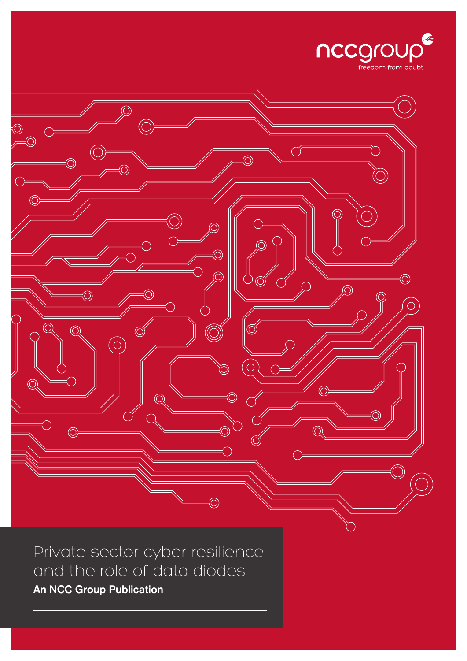



Private sector cyber resilience and the role of data diodes **An NCC Group Publication**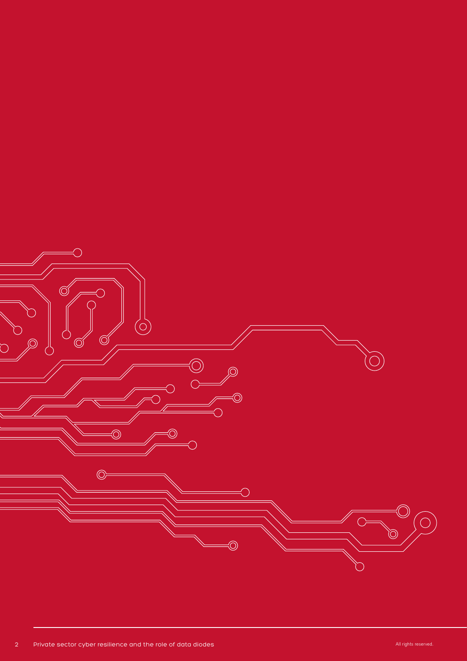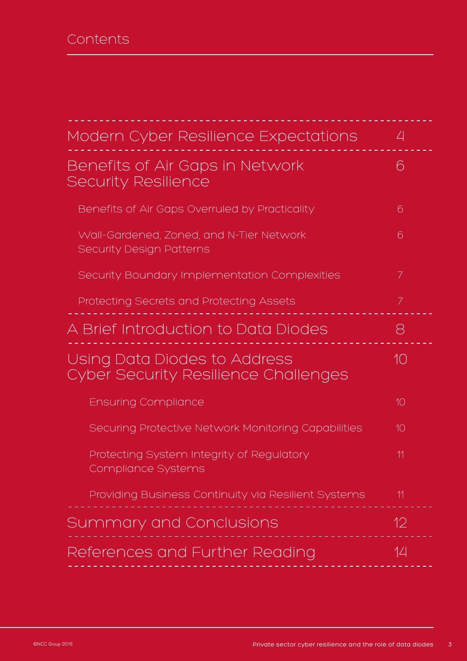| Modern Cyber Resilience Expectations                                        | $\Delta$        |
|-----------------------------------------------------------------------------|-----------------|
| Benefits of Air Gaps in Network<br><b>Security Resilience</b>               | 6               |
| Benefits of Air Gaps Overruled by Practicality                              | 6               |
| Wall-Gardened, Zoned, and N-Tier Network<br><b>Security Design Patterns</b> | 6               |
| Security Boundary Implementation Complexities                               | 7               |
| Protecting Secrets and Protecting Assets                                    | 7               |
| A Brief Introduction to Data Diodes                                         | 8               |
|                                                                             |                 |
| Using Data Diodes to Address<br>Cyber Security Resilience Challenges        | 1 <sup>O</sup>  |
| <b>Ensuring Compliance</b>                                                  | 10              |
| Securing Protective Network Monitoring Capabilities                         | 10              |
| Protecting System Integrity of Regulatory<br>Compliance Systems             | 11              |
| Providing Business Continuity via Resilient Systems                         | 11              |
| Summary and Conclusions                                                     | 12 <sup>°</sup> |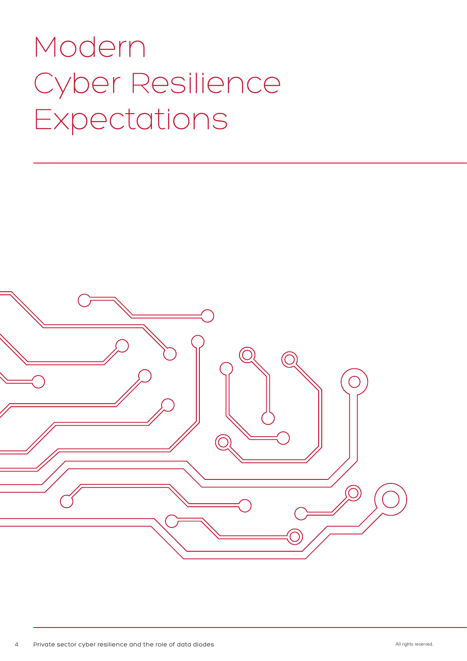# Modern Cyber Resilience Expectations

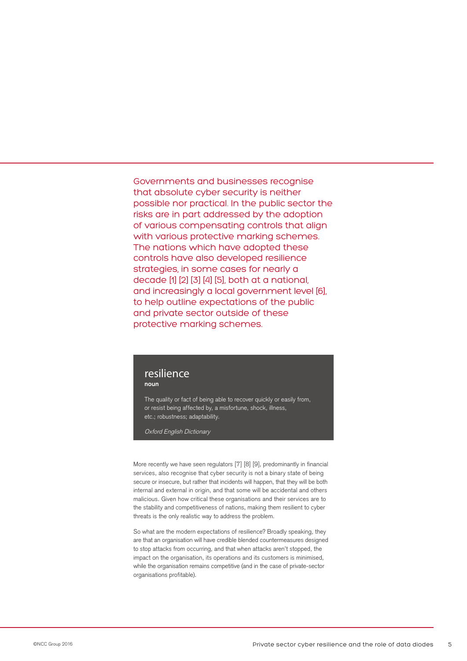Governments and businesses recognise that absolute cyber security is neither possible nor practical. In the public sector the risks are in part addressed by the adoption of various compensating controls that align with various protective marking schemes. The nations which have adopted these controls have also developed resilience strategies, in some cases for nearly a decade [1] [2] [3] [4] [5], both at a national, and increasingly a local government level [6], to help outline expectations of the public and private sector outside of these protective marking schemes.

### resilience

**noun**

The quality or fact of being able to recover quickly or easily from, or resist being affected by, a misfortune, shock, illness, etc.; robustness; adaptability.

Oxford English Dictionary

More recently we have seen regulators [7] [8] [9], predominantly in financial services, also recognise that cyber security is not a binary state of being secure or insecure, but rather that incidents will happen, that they will be both internal and external in origin, and that some will be accidental and others malicious. Given how critical these organisations and their services are to the stability and competitiveness of nations, making them resilient to cyber threats is the only realistic way to address the problem.

So what are the modern expectations of resilience? Broadly speaking, they are that an organisation will have credible blended countermeasures designed to stop attacks from occurring, and that when attacks aren't stopped, the impact on the organisation, its operations and its customers is minimised, while the organisation remains competitive (and in the case of private-sector organisations profitable).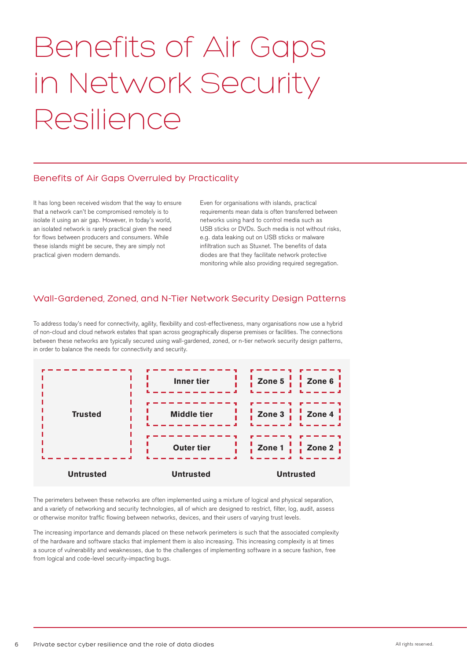## Benefits of Air Gaps in Network Security Resilience

### Benefits of Air Gaps Overruled by Practicality

It has long been received wisdom that the way to ensure that a network can't be compromised remotely is to isolate it using an air gap. However, in today's world, an isolated network is rarely practical given the need for flows between producers and consumers. While these islands might be secure, they are simply not practical given modern demands.

Even for organisations with islands, practical requirements mean data is often transferred between networks using hard to control media such as USB sticks or DVDs. Such media is not without risks, e.g. data leaking out on USB sticks or malware infiltration such as Stuxnet. The benefits of data diodes are that they facilitate network protective monitoring while also providing required segregation.

### Wall-Gardened, Zoned, and N-Tier Network Security Design Patterns

To address today's need for connectivity, agility, flexibility and cost-effectiveness, many organisations now use a hybrid of non-cloud and cloud network estates that span across geographically disperse premises or facilities. The connections between these networks are typically secured using wall-gardened, zoned, or n-tier network security design patterns, in order to balance the needs for connectivity and security.



The perimeters between these networks are often implemented using a mixture of logical and physical separation, and a variety of networking and security technologies, all of which are designed to restrict, filter, log, audit, assess or otherwise monitor traffic flowing between networks, devices, and their users of varying trust levels.

The increasing importance and demands placed on these network perimeters is such that the associated complexity of the hardware and software stacks that implement them is also increasing. This increasing complexity is at times a source of vulnerability and weaknesses, due to the challenges of implementing software in a secure fashion, free from logical and code-level security-impacting bugs.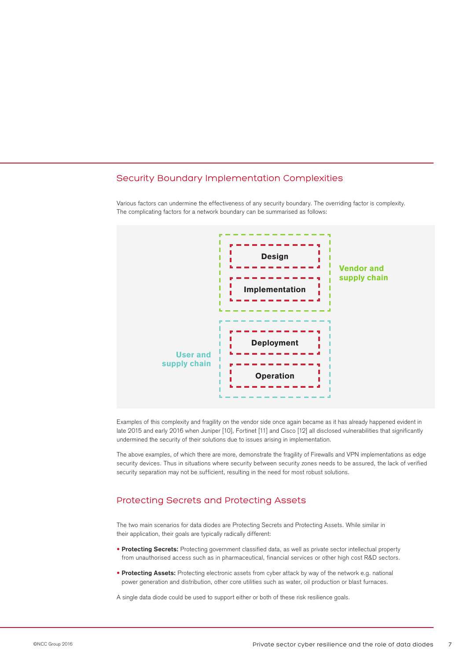#### Security Boundary Implementation Complexities

**Design** Vendor and supply chain Implementation **Contract Contract** Deployment User and supply chain**Operation** 

Various factors can undermine the effectiveness of any security boundary. The overriding factor is complexity. The complicating factors for a network boundary can be summarised as follows:

Examples of this complexity and fragility on the vendor side once again became as it has already happened evident in late 2015 and early 2016 when Juniper [10], Fortinet [11] and Cisco [12] all disclosed vulnerabilities that significantly undermined the security of their solutions due to issues arising in implementation.

The above examples, of which there are more, demonstrate the fragility of Firewalls and VPN implementations as edge security devices. Thus in situations where security between security zones needs to be assured, the lack of verified security separation may not be sufficient, resulting in the need for most robust solutions.

#### Protecting Secrets and Protecting Assets

The two main scenarios for data diodes are Protecting Secrets and Protecting Assets. While similar in their application, their goals are typically radically different:

- **Protecting Secrets:** Protecting government classified data, as well as private sector intellectual property from unauthorised access such as in pharmaceutical, financial services or other high cost R&D sectors.
- **Protecting Assets:** Protecting electronic assets from cyber attack by way of the network e.g. national power generation and distribution, other core utilities such as water, oil production or blast furnaces.

A single data diode could be used to support either or both of these risk resilience goals.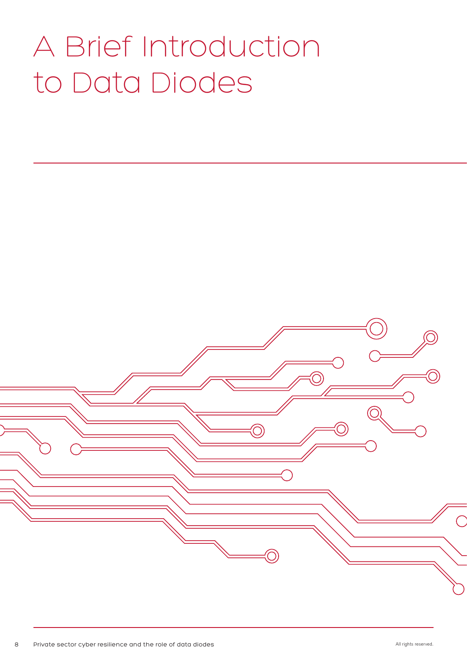### A Brief Introduction to Data Diodes

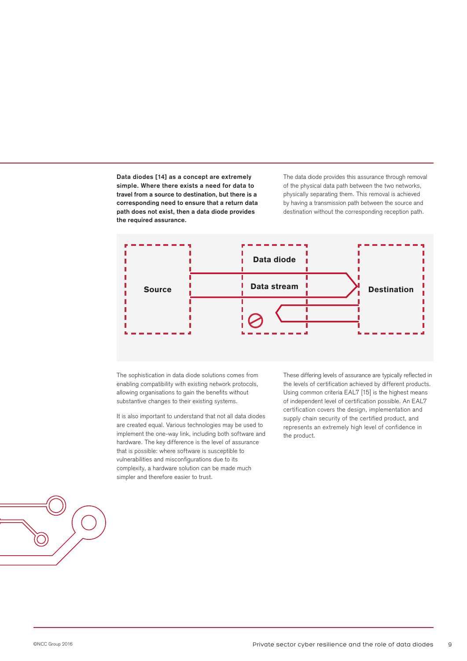**Data diodes [14] as a concept are extremely simple. Where there exists a need for data to travel from a source to destination, but there is a corresponding need to ensure that a return data path does not exist, then a data diode provides the required assurance.**

The data diode provides this assurance through removal of the physical data path between the two networks, physically separating them. This removal is achieved by having a transmission path between the source and destination without the corresponding reception path.



The sophistication in data diode solutions comes from enabling compatibility with existing network protocols, allowing organisations to gain the benefits without substantive changes to their existing systems.

It is also important to understand that not all data diodes are created equal. Various technologies may be used to implement the one-way link, including both software and hardware. The key difference is the level of assurance that is possible: where software is susceptible to vulnerabilities and misconfigurations due to its complexity, a hardware solution can be made much simpler and therefore easier to trust.

These differing levels of assurance are typically reflected in the levels of certification achieved by different products. Using common criteria EAL7 [15] is the highest means of independent level of certification possible. An EAL7 certification covers the design, implementation and supply chain security of the certified product, and represents an extremely high level of confidence in the product.

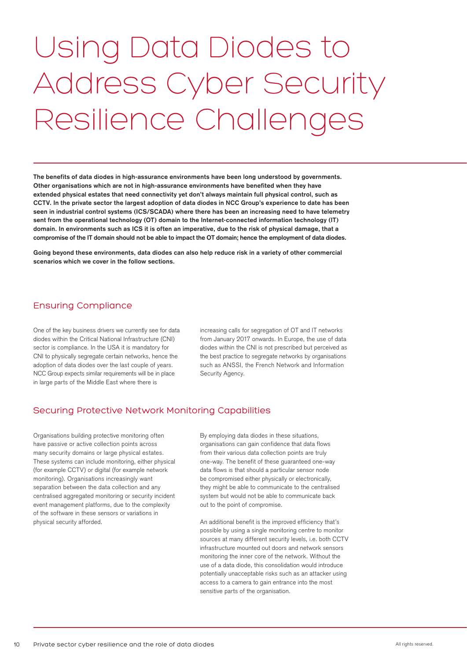# Using Data Diodes to Address Cyber Security Resilience Challenges

**The benefits of data diodes in high-assurance environments have been long understood by governments. Other organisations which are not in high-assurance environments have benefited when they have extended physical estates that need connectivity yet don't always maintain full physical control, such as CCTV. In the private sector the largest adoption of data diodes in NCC Group's experience to date has been seen in industrial control systems (ICS/SCADA) where there has been an increasing need to have telemetry sent from the operational technology (OT) domain to the Internet-connected information technology (IT) domain. In environments such as ICS it is often an imperative, due to the risk of physical damage, that a compromise of the IT domain should not be able to impact the OT domain; hence the employment of data diodes.**

**Going beyond these environments, data diodes can also help reduce risk in a variety of other commercial scenarios which we cover in the follow sections.**

### Ensuring Compliance

One of the key business drivers we currently see for data diodes within the Critical National Infrastructure (CNI) sector is compliance. In the USA it is mandatory for CNI to physically segregate certain networks, hence the adoption of data diodes over the last couple of years. NCC Group expects similar requirements will be in place in large parts of the Middle East where there is

increasing calls for segregation of OT and IT networks from January 2017 onwards. In Europe, the use of data diodes within the CNI is not prescribed but perceived as the best practice to segregate networks by organisations such as ANSSI, the French Network and Information Security Agency.

### Securing Protective Network Monitoring Capabilities

Organisations building protective monitoring often have passive or active collection points across many security domains or large physical estates. These systems can include monitoring, either physical (for example CCTV) or digital (for example network monitoring). Organisations increasingly want separation between the data collection and any centralised aggregated monitoring or security incident event management platforms, due to the complexity of the software in these sensors or variations in physical security afforded.

By employing data diodes in these situations, organisations can gain confidence that data flows from their various data collection points are truly one-way. The benefit of these guaranteed one-way data flows is that should a particular sensor node be compromised either physically or electronically, they might be able to communicate to the centralised system but would not be able to communicate back out to the point of compromise.

An additional benefit is the improved efficiency that's possible by using a single monitoring centre to monitor sources at many different security levels, i.e. both CCTV infrastructure mounted out doors and network sensors monitoring the inner core of the network. Without the use of a data diode, this consolidation would introduce potentially unacceptable risks such as an attacker using access to a camera to gain entrance into the most sensitive parts of the organisation.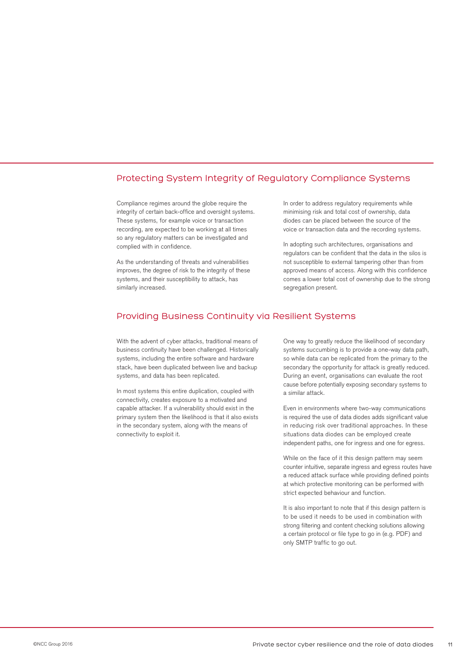### Protecting System Integrity of Regulatory Compliance Systems

Compliance regimes around the globe require the integrity of certain back-office and oversight systems. These systems, for example voice or transaction recording, are expected to be working at all times so any regulatory matters can be investigated and complied with in confidence.

As the understanding of threats and vulnerabilities improves, the degree of risk to the integrity of these systems, and their susceptibility to attack, has similarly increased.

In order to address regulatory requirements while minimising risk and total cost of ownership, data diodes can be placed between the source of the voice or transaction data and the recording systems.

In adopting such architectures, organisations and regulators can be confident that the data in the silos is not susceptible to external tampering other than from approved means of access. Along with this confidence comes a lower total cost of ownership due to the strong segregation present.

#### Providing Business Continuity via Resilient Systems

With the advent of cyber attacks, traditional means of business continuity have been challenged. Historically systems, including the entire software and hardware stack, have been duplicated between live and backup systems, and data has been replicated.

In most systems this entire duplication, coupled with connectivity, creates exposure to a motivated and capable attacker. If a vulnerability should exist in the primary system then the likelihood is that it also exists in the secondary system, along with the means of connectivity to exploit it.

One way to greatly reduce the likelihood of secondary systems succumbing is to provide a one-way data path, so while data can be replicated from the primary to the secondary the opportunity for attack is greatly reduced. During an event, organisations can evaluate the root cause before potentially exposing secondary systems to a similar attack.

Even in environments where two-way communications is required the use of data diodes adds significant value in reducing risk over traditional approaches. In these situations data diodes can be employed create independent paths, one for ingress and one for egress.

While on the face of it this design pattern may seem counter intuitive, separate ingress and egress routes have a reduced attack surface while providing defined points at which protective monitoring can be performed with strict expected behaviour and function.

It is also important to note that if this design pattern is to be used it needs to be used in combination with strong filtering and content checking solutions allowing a certain protocol or file type to go in (e.g. PDF) and only SMTP traffic to go out.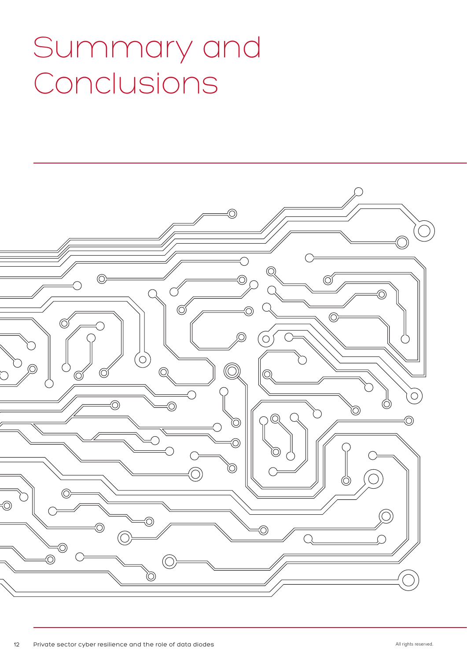## Summary and Conclusions

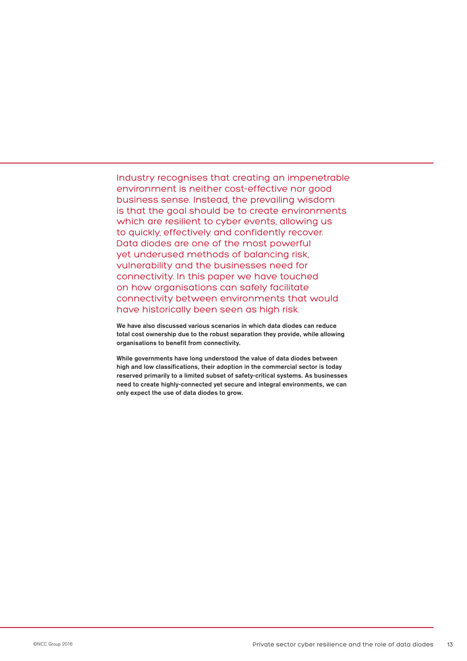Industry recognises that creating an impenetrable environment is neither cost-effective nor good business sense. Instead, the prevailing wisdom is that the goal should be to create environments which are resilient to cyber events, allowing us to quickly, effectively and confidently recover. Data diodes are one of the most powerful yet underused methods of balancing risk, vulnerability and the businesses need for connectivity. In this paper we have touched on how organisations can safely facilitate connectivity between environments that would have historically been seen as high risk.

**We have also discussed various scenarios in which data diodes can reduce total cost ownership due to the robust separation they provide, while allowing organisations to benefit from connectivity.**

**While governments have long understood the value of data diodes between high and low classifications, their adoption in the commercial sector is today reserved primarily to a limited subset of safety-critical systems. As businesses need to create highly-connected yet secure and integral environments, we can only expect the use of data diodes to grow.**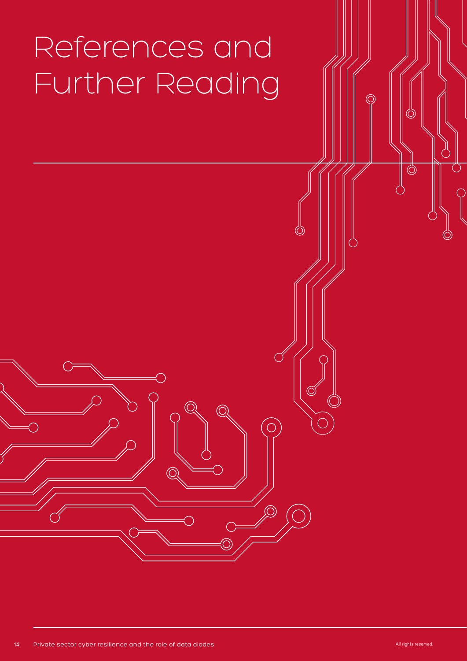# References and Further Reading

 $\odot$ 

 $\circledcirc$ 

 $\overline{Q}$ 

 $\overline{\mathbb{Q}}$ 

 $\lhd$ 

 $\bigodot$ 

 $\overline{\mathcal{Q}}$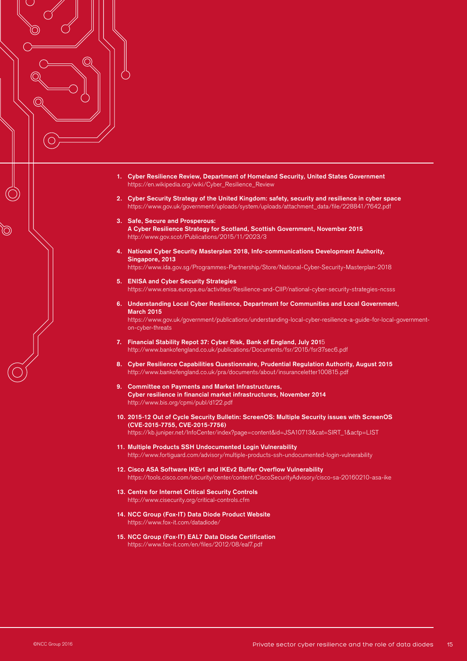- **1. Cyber Resilience Review, Department of Homeland Security, United States Government** https://en.wikipedia.org/wiki/Cyber\_Resilience\_Review
- **2. Cyber Security Strategy of the United Kingdom: safety, security and resilience in cyber space** https://www.gov.uk/government/uploads/system/uploads/attachment\_data/file/228841/7642.pdf
- **3. Safe, Secure and Prosperous: A Cyber Resilience Strategy for Scotland, Scottish Government, November 2015** http://www.gov.scot/Publications/2015/11/2023/3
- **4. National Cyber Security Masterplan 2018, Info-communications Development Authority, Singapore, 2013** https://www.ida.gov.sg/Programmes-Partnership/Store/National-Cyber-Security-Masterplan-2018
- **5. ENISA and Cyber Security Strategies**

https://www.enisa.europa.eu/activities/Resilience-and-CIIP/national-cyber-security-strategies-ncsss

**6. Understanding Local Cyber Resilience, Department for Communities and Local Government, March 2015**

 https://www.gov.uk/government/publications/understanding-local-cyber-resilience-a-guide-for-local-governmenton-cyber-threats

- **7. Financial Stability Repot 37: Cyber Risk, Bank of England, July 201**5 http://www.bankofengland.co.uk/publications/Documents/fsr/2015/fsr37sec6.pdf
- **8. Cyber Resilience Capabilities Questionnaire, Prudential Regulation Authority, August 2015** http://www.bankofengland.co.uk/pra/documents/about/insuranceletter100815.pdf
- **9. Committee on Payments and Market Infrastructures, Cyber resilience in financial market infrastructures, November 2014** http://www.bis.org/cpmi/publ/d122.pdf
- **10. 2015-12 Out of Cycle Security Bulletin: ScreenOS: Multiple Security issues with ScreenOS (CVE-2015-7755, CVE-2015-7756)** https://kb.juniper.net/InfoCenter/index?page=content&id=JSA10713&cat=SIRT\_1&actp=LIST
- **11. Multiple Products SSH Undocumented Login Vulnerability** http://www.fortiguard.com/advisory/multiple-products-ssh-undocumented-login-vulnerability
- **12. Cisco ASA Software IKEv1 and IKEv2 Buffer Overflow Vulnerability** https://tools.cisco.com/security/center/content/CiscoSecurityAdvisory/cisco-sa-20160210-asa-ike
- **13. Centre for Internet Critical Security Controls** http://www.cisecurity.org/critical-controls.cfm
- **14. NCC Group (Fox-IT) Data Diode Product Website** https://www.fox-it.com/datadiode/
- **15. NCC Group (Fox-IT) EAL7 Data Diode Certification** https://www.fox-it.com/en/files/2012/08/eal7.pdf

 $\odot$ 

(O)